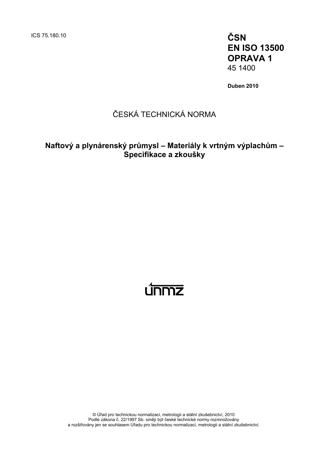ICS 75.180.10 **ČSN** 

**EN ISO 13500 OPRAVA 1**  45 1400

**Duben 2010** 

## ČESKÁ TECHNICKÁ NORMA

#### **Naftový a plynárenský průmysl – Materiály k vrtným výplachům – Specifikace a zkoušky**

# $\sqrt{nmz}$

© Úřad pro technickou normalizaci, metrologii a státní zkušebnictví, 2010 Podle zákona č. 22/1997 Sb. smějí být české technické normy rozmnožovány a rozšiřovány jen se souhlasem Úřadu pro technickou normalizaci, metrologii a státní zkušebnictví.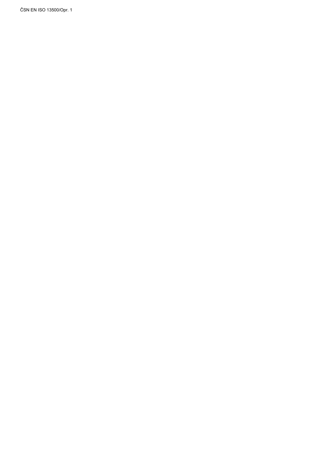ČSN EN ISO 13500/Opr. 1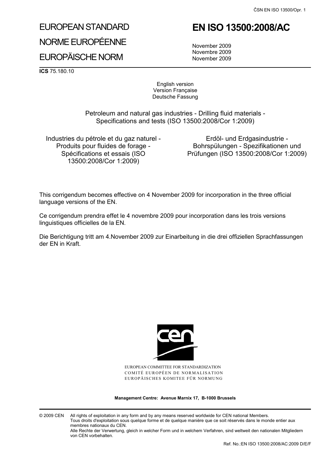### EUROPEAN STANDARD

# **EN ISO 13500:2008/AC**

NORME EUROPÉENNE EUROPÄISCHE NORM

 November 2009 Novembre 2009 November 2009

**ICS** 75.180.10

English version Version Française Deutsche Fassung

 Petroleum and natural gas industries - Drilling fluid materials - Specifications and tests (ISO 13500:2008/Cor 1:2009)

Industries du pétrole et du gaz naturel - Produits pour fluides de forage - Spécifications et essais (ISO 13500:2008/Cor 1:2009)

 Erdöl- und Erdgasindustrie - Bohrspülungen - Spezifikationen und Prüfungen (ISO 13500:2008/Cor 1:2009)

This corrigendum becomes effective on 4 November 2009 for incorporation in the three official language versions of the EN.

Ce corrigendum prendra effet le 4 novembre 2009 pour incorporation dans les trois versions linguistiques officielles de la EN.

Die Berichtigung tritt am 4.November 2009 zur Einarbeitung in die drei offiziellen Sprachfassungen der EN in Kraft.



EUROPEAN COMMITTEE FOR STANDARDIZATION COMITÉ EUROPÉEN DE NORMALISATION EUROPÄISCHES KOMITEE FÜR NORMUNG

**Management Centre: Avenue Marnix 17, B-1000 Brussels** 

© 2009 CEN All rights of exploitation in any form and by any means reserved worldwide for CEN national Members. Tous droits d'exploitation sous quelque forme et de quelque manière que ce soit réservés dans le monde entier aux membres nationaux du CEN.

Alle Rechte der Verwertung, gleich in welcher Form und in welchem Verfahren, sind weltweit den nationalen Mitgliedern von CEN vorbehalten.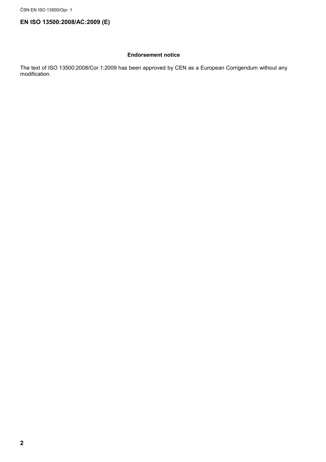ČSN EN ISO 13500/Opr. 1

#### **EN ISO 13500:2008/AC:2009 (E)**

#### **Endorsement notice**

The text of ISO 13500:2008/Cor.1:2009 has been approved by CEN as a European Corrigendum without any modification.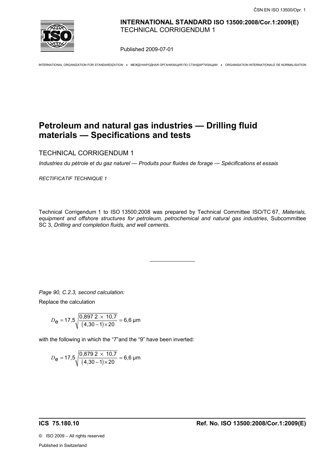

**INTERNATIONAL STANDARD ISO 13500:2008/Cor.1:2009(E)** TECHNICAL CORRIGENDUM 1

Published 2009-07-01

INTERNATIONAL ORGANIZATION FOR STANDARDIZATION • МЕЖДУНАРОДНАЯ ОРГАНИЗАЦИЯ ПО СТАНДАРТИЗАЦИИ • ORGANISATION INTERNATIONALE DE NORMALISATION

## **Petroleum and natural gas industries — Drilling fluid materials — Specifications and tests**

TECHNICAL CORRIGENDUM 1

*Industries du pétrole et du gaz naturel — Produits pour fluides de forage — Spécifications et essais* 

 $\overline{a}$ 

*RECTIFICATIF TECHNIQUE 1*

Technical Corrigendum 1 to ISO 13500:2008 was prepared by Technical Committee ISO/TC 67, *Materials, equipment and offshore structures for petroleum, petrochemical and natural gas industries*, Subcommittee SC 3, *Drilling and completion fluids, and well cements.* 

*Page 90, C.2.3, second calculation:*

Replace the calculation

$$
D_{\mathbf{e}} = 17.5 \sqrt{\frac{0.897 \ 2 \times 10.7}{(4.30 - 1) \times 20}} = 6.6 \ \mu \text{m}
$$

with the following in which the "7" and the "9" have been inverted:

$$
D_{\mathbf{e}} = 17.5 \sqrt{\frac{0.879 \ 2 \times 10.7}{(4.30 - 1) \times 20}} = 6.6 \ \mu \text{m}
$$

©ISO 2009 – All rights reserved